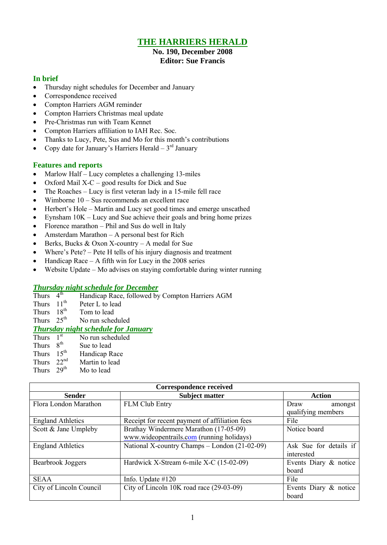## **THE HARRIERS HERALD**

#### **No. 190, December 2008 Editor: Sue Francis**

### **In brief**

- Thursday night schedules for December and January
- Correspondence received
- Compton Harriers AGM reminder
- Compton Harriers Christmas meal update
- Pre-Christmas run with Team Kennet
- Compton Harriers affiliation to IAH Rec. Soc.
- Thanks to Lucy, Pete, Sus and Mo for this month's contributions
- Copy date for January's Harriers Herald  $-3<sup>rd</sup>$  January

### **Features and reports**

- Marlow Half Lucy completes a challenging 13-miles
- Oxford Mail X-C good results for Dick and Sue
- The Roaches Lucy is first veteran lady in a 15-mile fell race
- Wimborne 10 Sus recommends an excellent race
- Herbert's Hole Martin and Lucy set good times and emerge unscathed
- Eynsham 10K Lucy and Sue achieve their goals and bring home prizes
- Florence marathon Phil and Sus do well in Italy
- Amsterdam Marathon A personal best for Rich
- $\bullet$  Berks, Bucks & Oxon X-country A medal for Sue
- Where's Pete? Pete H tells of his injury diagnosis and treatment
- Handicap Race A fifth win for Lucy in the 2008 series
- Website Update Mo advises on staying comfortable during winter running

# *Thursday night schedule for December*

- **Thurs** Handicap Race, followed by Compton Harriers AGM
- Thurs  $11<sup>th</sup>$  Peter L to lead
- Thurs  $18^{th}$  Tom to lead<br>Thurs  $25^{th}$  No run schee
- No run scheduled

# *Thursday night schedule for January*

- Thurs No run scheduled
- Thurs  $8^{th}$ <br>Thurs  $15^{th}$ Sue to lead
- Thurs  $15^{th}$  Handicap Race<br>Thurs  $22^{nd}$  Martin to lead
- Martin to lead
- Thurs  $29<sup>th</sup>$  Mo to lead

| Correspondence received  |                                                |                        |  |  |  |  |  |
|--------------------------|------------------------------------------------|------------------------|--|--|--|--|--|
| <b>Sender</b>            | <b>Subject matter</b>                          | <b>Action</b>          |  |  |  |  |  |
| Flora London Marathon    | FLM Club Entry                                 | Draw<br>amongst        |  |  |  |  |  |
|                          |                                                | qualifying members     |  |  |  |  |  |
| <b>England Athletics</b> | Receipt for recent payment of affiliation fees | File                   |  |  |  |  |  |
| Scott & Jane Umpleby     | Brathay Windermere Marathon (17-05-09)         | Notice board           |  |  |  |  |  |
|                          | www.wideopentrails.com (running holidays)      |                        |  |  |  |  |  |
| <b>England Athletics</b> | National X-country Champs – London (21-02-09)  | Ask Sue for details if |  |  |  |  |  |
|                          |                                                | interested             |  |  |  |  |  |
| Bearbrook Joggers        | Hardwick X-Stream 6-mile X-C (15-02-09)        | Events Diary & notice  |  |  |  |  |  |
|                          |                                                | board                  |  |  |  |  |  |
| <b>SEAA</b>              | Info. Update $#120$                            | File                   |  |  |  |  |  |
| City of Lincoln Council  | City of Lincoln 10K road race (29-03-09)       | Events Diary & notice  |  |  |  |  |  |
|                          |                                                | board                  |  |  |  |  |  |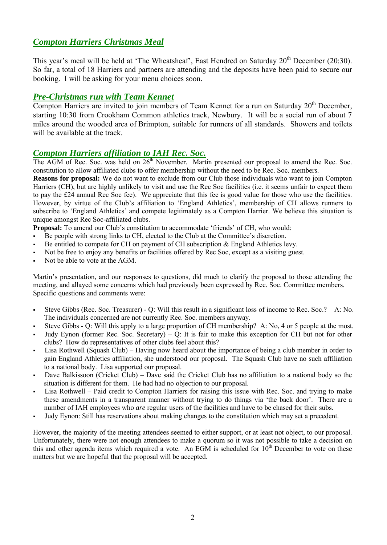## *Compton Harriers Christmas Meal*

This year's meal will be held at 'The Wheatsheaf', East Hendred on Saturday 20<sup>th</sup> December (20:30). So far, a total of 18 Harriers and partners are attending and the deposits have been paid to secure our booking. I will be asking for your menu choices soon.

### *Pre-Christmas run with Team Kennet*

Compton Harriers are invited to join members of Team Kennet for a run on Saturday 20<sup>th</sup> December, starting 10:30 from Crookham Common athletics track, Newbury. It will be a social run of about 7 miles around the wooded area of Brimpton, suitable for runners of all standards. Showers and toilets will be available at the track.

## *Compton Harriers affiliation to IAH Rec. Soc.*

The AGM of Rec. Soc. was held on  $26<sup>th</sup>$  November. Martin presented our proposal to amend the Rec. Soc. constitution to allow affiliated clubs to offer membership without the need to be Rec. Soc. members.

**Reasons for proposal:** We do not want to exclude from our Club those individuals who want to join Compton Harriers (CH), but are highly unlikely to visit and use the Rec Soc facilities (i.e. it seems unfair to expect them to pay the É24 annual Rec Soc fee). We appreciate that this fee is good value for those who use the facilities. However, by virtue of the Club's affiliation to 'England Athletics', membership of CH allows runners to subscribe to 'England Athletics' and compete legitimately as a Compton Harrier. We believe this situation is unique amongst Rec Soc-affiliated clubs.

**Proposal:** To amend our Club's constitution to accommodate 'friends' of CH, who would:

- Be people with strong links to CH, elected to the Club at the Committee's discretion.
- Be entitled to compete for CH on payment of CH subscription & England Athletics levy.
- Not be free to enjoy any benefits or facilities offered by Rec Soc, except as a visiting guest.
- Not be able to vote at the AGM.

Martin's presentation, and our responses to questions, did much to clarify the proposal to those attending the meeting, and allayed some concerns which had previously been expressed by Rec. Soc. Committee members. Specific questions and comments were:

- Steve Gibbs (Rec. Soc. Treasurer) Q: Will this result in a significant loss of income to Rec. Soc.? A: No. The individuals concerned are not currently Rec. Soc. members anyway.
- Steve Gibbs Q: Will this apply to a large proportion of CH membership? A: No, 4 or 5 people at the most.
- Judy Eynon (former Rec. Soc. Secretary) Q: It is fair to make this exception for CH but not for other clubs? How do representatives of other clubs feel about this?
- Lisa Rothwell (Squash Club) Having now heard about the importance of being a club member in order to gain England Athletics affiliation, she understood our proposal. The Squash Club have no such affiliation to a national body. Lisa supported our proposal.
- Dave Balkissoon (Cricket Club) Dave said the Cricket Club has no affiliation to a national body so the situation is different for them. He had had no objection to our proposal.
- Lisa Rothwell Paid credit to Compton Harriers for raising this issue with Rec. Soc. and trying to make these amendments in a transparent manner without trying to do things via 'the back door'. There are a number of IAH employees who *are* regular users of the facilities and have to be chased for their subs.
- Judy Eynon: Still has reservations about making changes to the constitution which may set a precedent.

However, the majority of the meeting attendees seemed to either support, or at least not object, to our proposal. Unfortunately, there were not enough attendees to make a quorum so it was not possible to take a decision on this and other agenda items which required a vote. An EGM is scheduled for  $10<sup>th</sup>$  December to vote on these matters but we are hopeful that the proposal will be accepted.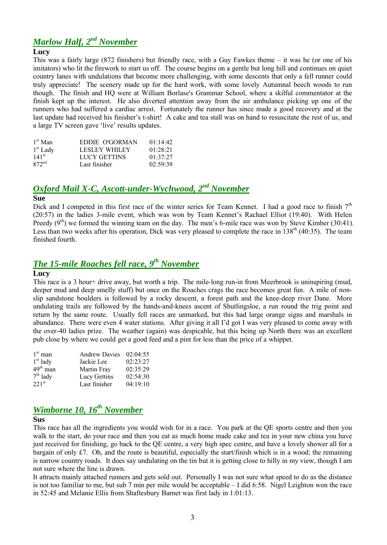## *Marlow Half, 2 nd November*

### **Lucy**

This was a fairly large (872 finishers) but friendly race, with a Guy Fawkes theme – it was he (or one of his imitators) who lit the firework to start us off. The course begins on a gentle but long hill and continues on quiet country lanes with undulations that become more challenging, with some descents that only a fell runner could truly appreciate! The scenery made up for the hard work, with some lovely Autumnal beech woods to run though. The finish and HQ were at William Borlase's Grammar School, where a skilful commentator at the finish kept up the interest. He also diverted attention away from the air ambulance picking up one of the runners who had suffered a cardiac arrest. Fortunately the runner has since made a good recovery and at the last update had received his finisher's t-shirt! A cake and tea stall was on hand to resuscitate the rest of us, and a large TV screen gave 'live' results updates.

| $1st$ Man         | EDDIE O'GORMAN       | 01:14:42 |
|-------------------|----------------------|----------|
| $1st$ Lady        | <b>LESLEY WHILEY</b> | 01.28.21 |
| $141^{st}$        | LUCY GETTINS         | 01:37:27 |
| 872 <sup>nd</sup> | Last finisher        | 02:59:39 |

## *Oxford Mail X-C, Ascott-under-Wychwood, 2 nd November*

#### **Sue**

Dick and I competed in this first race of the winter series for Team Kennet. I had a good race to finish  $7<sup>th</sup>$ (20:57) in the ladies 3-mile event, which was won by Team Kennet's Rachael Elliot (19:40). With Helen Preedy  $(9<sup>th</sup>)$  we formed the winning team on the day. The men's 6-mile race was won by Steve Kimber (30:41). Less than two weeks after his operation. Dick was very pleased to complete the race in  $138<sup>th</sup> (40.35)$ . The team finished fourth.

## *The 15-mile Roaches fell race, 9 th November*

### **Lucy**

This race is a 3 hour+ drive away, but worth a trip. The mile-long run-in from Meerbrook is uninspiring (mud, deeper mud and deep smelly stuff) but once on the Roaches crags the race becomes great fun. A mile of nonslip sandstone boulders is followed by a rocky descent, a forest path and the knee-deep river Dane. More undulating trails are followed by the hands-and-knees ascent of Shutlingsloe, a run round the trig point and return by the same route. Usually fell races are unmarked, but this had large orange signs and marshals in abundance. There were even 4 water stations. After giving it all I'd got I was very pleased to come away with the over-40 ladies prize. The weather (again) was despicable, but this being up North there was an excellent pub close by where we could get a good feed and a pint for less than the price of a whippet.

| $1st$ man  | <b>Andrew Davies</b> | 02:04:55 |
|------------|----------------------|----------|
| $1st$ lady | Jackie Lee           | 02:23:27 |
| $49th$ man | Martin Fray          | 02:35:29 |
| $7th$ lady | Lucy Gettins         | 02:54:30 |
| $221^{st}$ | Last finisher        | 04:19:10 |

## *Wimborne 10, 16th November*

### **Sus**

This race has all the ingredients you would wish for in a race. You park at the QE sports centre and then you walk to the start, do your race and then you eat as much home made cake and tea in your new china you have just received for finishing, go back to the QE centre, a very high spec centre, and have a lovely shower all for a bargain of only É7. Oh, and the route is beautiful, especially the start/finish which is in a wood; the remaining is narrow country roads. It does say undulating on the tin but it is getting close to hilly in my view, though I am not sure where the line is drawn.

It attracts mainly attached runners and gets sold out. Personally I was not sure what speed to do as the distance is not too familiar to me, but sub 7 min per mile would be acceptable – I did 6:58. Nigel Leighton won the race in 52:45 and Melanie Ellis from Shaftesbury Barnet was first lady in 1:01:13.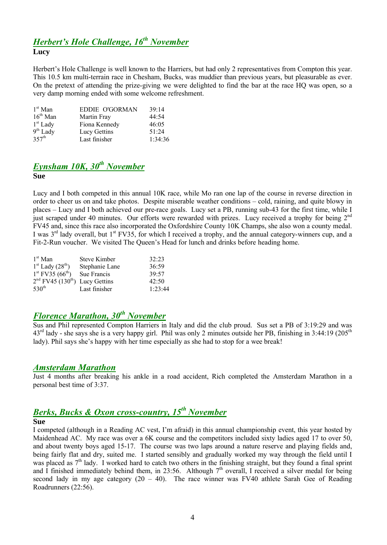## *Herbert's Hole Challenge, 16th November* **Lucy**

Herbert's Hole Challenge is well known to the Harriers, but had only 2 representatives from Compton this year. This 10.5 km multi-terrain race in Chesham, Bucks, was muddier than previous years, but pleasurable as ever. On the pretext of attending the prize-giving we were delighted to find the bar at the race HQ was open, so a very damp morning ended with some welcome refreshment.

| $1st$ Man         | EDDIE O'GORMAN | 39:14   |
|-------------------|----------------|---------|
| $16th$ Man        | Martin Fray    | 44:54   |
| $1st$ Lady        | Fiona Kennedy  | 46:05   |
| $9th$ Lady        | Lucy Gettins   | 51:24   |
| $357^{\text{th}}$ | Last finisher  | 1:34:36 |

## *Eynsham 10K, 30th November*

**Sue**

Lucy and I both competed in this annual 10K race, while Mo ran one lap of the course in reverse direction in order to cheer us on and take photos. Despite miserable weather conditions – cold, raining, and quite blowy in places – Lucy and I both achieved our pre-race goals. Lucy set a PB, running sub-43 for the first time, while I just scraped under 40 minutes. Our efforts were rewarded with prizes. Lucy received a trophy for being  $2<sup>nd</sup>$ FV45 and, since this race also incorporated the Oxfordshire County 10K Champs, she also won a county medal. I was 3<sup>rd</sup> lady overall, but 1<sup>st</sup> FV35, for which I received a trophy, and the annual category-winners cup, and a Fit-2-Run voucher. We visited The Queen's Head for lunch and drinks before heading home.

| $1st$ Man                          | Steve Kimber        | 32.23   |
|------------------------------------|---------------------|---------|
| $1st$ Lady (28 <sup>th</sup> )     | Stephanie Lane      | 36:59   |
| $1^{st}$ FV35 $(66^{th})$          | Sue Francis         | 39:57   |
| $2^{nd}$ FV45 (130 <sup>th</sup> ) | <b>Lucy Gettins</b> | 42:50   |
| $530^{\text{th}}$                  | Last finisher       | 1:23:44 |

## *Florence Marathon, 30th November*

Sus and Phil represented Compton Harriers in Italy and did the club proud. Sus set a PB of 3:19:29 and was  $43<sup>rd</sup>$  lady - she says she is a very happy girl. Phil was only 2 minutes outside her PB, finishing in 3:44:19 (205<sup>th</sup>) lady). Phil says she's happy with her time especially as she had to stop for a wee break!

### *Amsterdam Marathon*

Just 4 months after breaking his ankle in a road accident, Rich completed the Amsterdam Marathon in a personal best time of 3:37.

## *Berks, Bucks & Oxon cross-country, 15th November*

### **Sue**

I competed (although in a Reading AC vest, I'm afraid) in this annual championship event, this year hosted by Maidenhead AC. My race was over a 6K course and the competitors included sixty ladies aged 17 to over 50, and about twenty boys aged 15-17. The course was two laps around a nature reserve and playing fields and, being fairly flat and dry, suited me. I started sensibly and gradually worked my way through the field until I was placed as  $7<sup>th</sup>$  lady. I worked hard to catch two others in the finishing straight, but they found a final sprint and I finished immediately behind them, in 23:56. Although  $7<sup>th</sup>$  overall, I received a silver medal for being second lady in my age category  $(20 - 40)$ . The race winner was FV40 athlete Sarah Gee of Reading Roadrunners (22:56).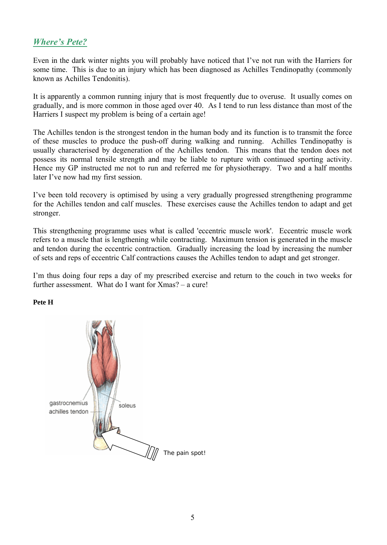## *Where's Pete?*

Even in the dark winter nights you will probably have noticed that I've not run with the Harriers for some time. This is due to an injury which has been diagnosed as Achilles Tendinopathy (commonly known as Achilles Tendonitis).

It is apparently a common running injury that is most frequently due to overuse. It usually comes on gradually, and is more common in those aged over 40. As I tend to run less distance than most of the Harriers I suspect my problem is being of a certain age!

The Achilles tendon is the strongest tendon in the human body and its function is to transmit the force of these muscles to produce the push-off during walking and running. Achilles Tendinopathy is usually characterised by degeneration of the Achilles tendon. This means that the tendon does not possess its normal tensile strength and may be liable to rupture with continued sporting activity. Hence my GP instructed me not to run and referred me for physiotherapy. Two and a half months later I've now had my first session.

I've been told recovery is optimised by using a very gradually progressed strengthening programme for the Achilles tendon and calf muscles. These exercises cause the Achilles tendon to adapt and get stronger.

This strengthening programme uses what is called 'eccentric muscle work'. Eccentric muscle work refers to a muscle that is lengthening while contracting. Maximum tension is generated in the muscle and tendon during the eccentric contraction. Gradually increasing the load by increasing the number of sets and reps of eccentric Calf contractions causes the Achilles tendon to adapt and get stronger.

I'm thus doing four reps a day of my prescribed exercise and return to the couch in two weeks for further assessment. What do I want for Xmas? – a cure!

**Pete H**

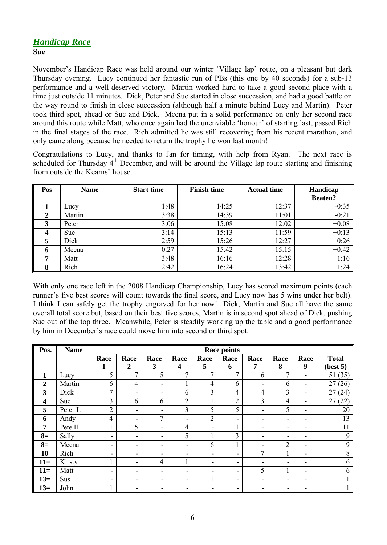### *Handicap Race* **Sue**

November's Handicap Race was held around our winter 'Village lap' route, on a pleasant but dark Thursday evening. Lucy continued her fantastic run of PBs (this one by 40 seconds) for a sub-13 performance and a well-deserved victory. Martin worked hard to take a good second place with a time just outside 11 minutes. Dick, Peter and Sue started in close succession, and had a good battle on the way round to finish in close succession (although half a minute behind Lucy and Martin). Peter took third spot, ahead or Sue and Dick. Meena put in a solid performance on only her second race around this route while Matt, who once again had the unenviable 'honour' of starting last, passed Rich in the final stages of the race. Rich admitted he was still recovering from his recent marathon, and only came along because he needed to return the trophy he won last month!

Congratulations to Lucy, and thanks to Jan for timing, with help from Ryan. The next race is scheduled for Thursday 4<sup>th</sup> December, and will be around the Village lap route starting and finishing from outside the Kearns' house.

| Pos | <b>Name</b> | <b>Start time</b> | <b>Finish time</b> | <b>Actual time</b> | Handicap       |  |
|-----|-------------|-------------------|--------------------|--------------------|----------------|--|
|     |             |                   |                    |                    | <b>Beaten?</b> |  |
|     | Lucy        | 1:48              | 14:25              | 12:37              | $-0:35$        |  |
| 2   | Martin      | 3:38              | 14:39              | 11:01              | $-0:21$        |  |
| 3   | Peter       | 3:06              | 15:08              | 12:02              | $+0:08$        |  |
|     | <b>Sue</b>  | 3:14              | 15:13              | 11:59              | $+0:13$        |  |
| 5   | Dick        | 2:59              | 15:26              | 12:27              | $+0:26$        |  |
| 6   | Meena       | 0:27              | 15:42              | 15:15              | $+0:42$        |  |
| 7   | Matt        | 3:48              | 16:16              | 12:28              | $+1:16$        |  |
| 8   | Rich        | 2:42              | 16:24              | 13:42              | $+1:24$        |  |

With only one race left in the 2008 Handicap Championship, Lucy has scored maximum points (each runner's five best scores will count towards the final score, and Lucy now has 5 wins under her belt). I think I can safely get the trophy engraved for her now! Dick, Martin and Sue all have the same overall total score but, based on their best five scores, Martin is in second spot ahead of Dick, pushing Sue out of the top three. Meanwhile, Peter is steadily working up the table and a good performance by him in December's race could move him into second or third spot.

| Pos.                    | <b>Name</b> | <b>Race points</b> |                          |                          |                |                |                          |                          |                |                          |              |
|-------------------------|-------------|--------------------|--------------------------|--------------------------|----------------|----------------|--------------------------|--------------------------|----------------|--------------------------|--------------|
|                         |             | Race               | Race                     | Race                     | Race           | Race           | Race                     | Race                     | Race           | Race                     | <b>Total</b> |
|                         |             | 1                  | $\boldsymbol{2}$         | 3                        | 4              | 5              | 6                        | 7                        | 8              | 9                        | (best 5)     |
| $\mathbf{1}$            | Lucy        | 5                  | 7                        | 5                        | 7              | 7              | 7                        | 6                        | 7              | $\overline{\phantom{a}}$ | 51(35)       |
| $\boldsymbol{2}$        | Martin      | 6                  | $\overline{4}$           | $\blacksquare$           |                | $\overline{4}$ | 6                        | $\overline{\phantom{0}}$ | 6              | $\overline{\phantom{0}}$ | 27(26)       |
| 3                       | Dick        | $\overline{7}$     | ٠                        | ۰                        | 6              | 3              | 4                        | 4                        | 3              | $\overline{\phantom{0}}$ | 27(24)       |
| $\overline{\mathbf{4}}$ | Sue         | 3                  | 6                        | 6                        | $\overline{2}$ |                | $\overline{2}$           | 3                        | 4              | $\overline{\phantom{a}}$ | 27<br>(22)   |
| 5                       | Peter L     | $\overline{2}$     | $\overline{\phantom{0}}$ | $\blacksquare$           | 3              | 5              | 5                        | $\overline{\phantom{a}}$ | 5              | $\overline{\phantom{0}}$ | 20           |
| 6                       | Andy        | $\overline{4}$     | -                        | 7                        | -              | $\overline{2}$ | -                        | ۰                        | -              | $\overline{\phantom{a}}$ | 13           |
| 7                       | Pete H      | 1                  | 5                        | $\blacksquare$           | 4              | Ξ.             |                          | ۰                        | ۰              | $\overline{\phantom{a}}$ | 11           |
| $8=$                    | Sally       | -                  | ٠                        | ۰                        | 5              |                | 3                        | $\overline{\phantom{0}}$ | -              |                          | 9            |
| $8=$                    | Meena       | -                  | -                        | $\overline{\phantom{0}}$ | ۰              | 6              |                          | $\overline{\phantom{0}}$ | $\overline{2}$ | $\overline{\phantom{a}}$ | 9            |
| 10                      | Rich        | ۰                  | ٠                        | ۰                        | ۰              | Ξ.             | $\overline{\phantom{0}}$ | 7                        |                | $\overline{\phantom{0}}$ | 8            |
| $11=$                   | Kirsty      |                    | ٠                        | $\overline{4}$           |                | ٠              | -                        | $\overline{\phantom{0}}$ | -              | $\,$                     | 6            |
| $11=$                   | Matt        | -                  | ٠                        | ۰                        | ۰              | ٠              | $\overline{\phantom{a}}$ | 5                        |                | $\overline{\phantom{a}}$ | 6            |
| $13=$                   | <b>Sus</b>  | ۰                  | ٠                        | $\overline{\phantom{a}}$ | ۰              |                | ۰                        | $\overline{\phantom{a}}$ | ۰              | $\overline{\phantom{a}}$ |              |
| $13=$                   | John        |                    | -                        | -                        | -              | Ξ.             | -                        | -                        | -              |                          |              |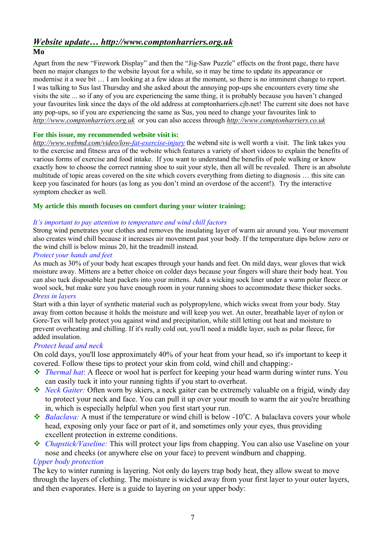## *[Website update… http://www.comptonharriers.org.uk](Website update� http://www.comptonharriers.org.uk)*

### **Mo**

Apart from the new "Firework Display" and then the "Jig-Saw Puzzle" effects on the front page, there have been no major changes to the website layout for a while, so it may be time to update its appearance or modernise it a wee bit … I am looking at a few ideas at the moment, so there is no imminent change to report. I was talking to Sus last Thursday and she asked about the annoying pop-ups she encounters every time she visits the site ... so if any of you are experiencing the same thing, it is probably because you haven't changed your favourites link since the days of the old address at comptonharriers.cjb.net! The current site does not have any pop-ups, so if you are experiencing the same as Sus, you need to change your favourites link to *<http://www.comptonharriers.org.uk>* or you can also access through *<http://www.comptonharriers.co.uk>*

### **For this issue, my recommended website visit is:**

*[http://www.webmd.com/video/low-](http://www.webmd.com/video/low)fat-exercise-injury* the webmd site is well worth a visit. The link takes you to the exercise and fitness area of the website which features a variety of short videos to explain the benefits of various forms of exercise and food intake. If you want to understand the benefits of pole walking or know exactly how to choose the correct running shoe to suit your style, then all will be revealed. There is an absolute multitude of topic areas covered on the site which covers everything from dieting to diagnosis … this site can keep you fascinated for hours (as long as you don't mind an overdose of the accent!). Try the interactive symptom checker as well.

### **My article this month focuses on comfort during your winter training;**

### *It's important to pay attention to temperature and wind chill factors*

Strong wind penetrates your clothes and removes the insulating layer of warm air around you. Your movement also creates wind chill because it increases air movement past your body. If the temperature dips below zero or the wind chill is below minus 20, hit the treadmill instead.

### *Protect your hands and feet*

As much as 30% of your body heat escapes through your hands and feet. On mild days, wear gloves that wick moisture away. Mittens are a better choice on colder days because your fingers will share their body heat. You can also tuck disposable heat packets into your mittens. Add a wicking sock liner under a warm polar fleece or wool sock, but make sure you have enough room in your running shoes to accommodate these thicker socks. *Dress in layers*

Start with a thin layer of synthetic material such as polypropylene, which wicks sweat from your body. Stay away from cotton because it holds the moisture and will keep you wet. An outer, breathable layer of nylon or Gore-Tex will help protect you against wind and precipitation, while still letting out heat and moisture to prevent overheating and chilling. If it's really cold out, you'll need a middle layer, such as polar fleece, for added insulation.

### *Protect head and neck*

On cold days, you'll lose approximately 40% of your heat from your head, so it's important to keep it covered. Follow these tips to protect your skin from cold, wind chill and chapping:-

- *Thermal hat*: A fleece or wool hat is perfect for keeping your head warm during winter runs. You can easily tuck it into your running tights if you start to overheat.
- *Neck Gaiter:* Often worn by skiers, a neck gaiter can be extremely valuable on a frigid, windy day to protect your neck and face. You can pull it up over your mouth to warm the air you're breathing in, which is especially helpful when you first start your run.
- $\bullet$  *Balaclava:* A must if the temperature or wind chill is below -10<sup>o</sup>C. A balaclava covers your whole head, exposing only your face or part of it, and sometimes only your eyes, thus providing excellent protection in extreme conditions.
- *Chapstick/Vaseline:* This will protect your lips from chapping. You can also use Vaseline on your nose and cheeks (or anywhere else on your face) to prevent windburn and chapping.

### *Upper body protection*

The key to winter running is layering. Not only do layers trap body heat, they allow sweat to move through the layers of clothing. The moisture is wicked away from your first layer to your outer layers, and then evaporates. Here is a guide to layering on your upper body: